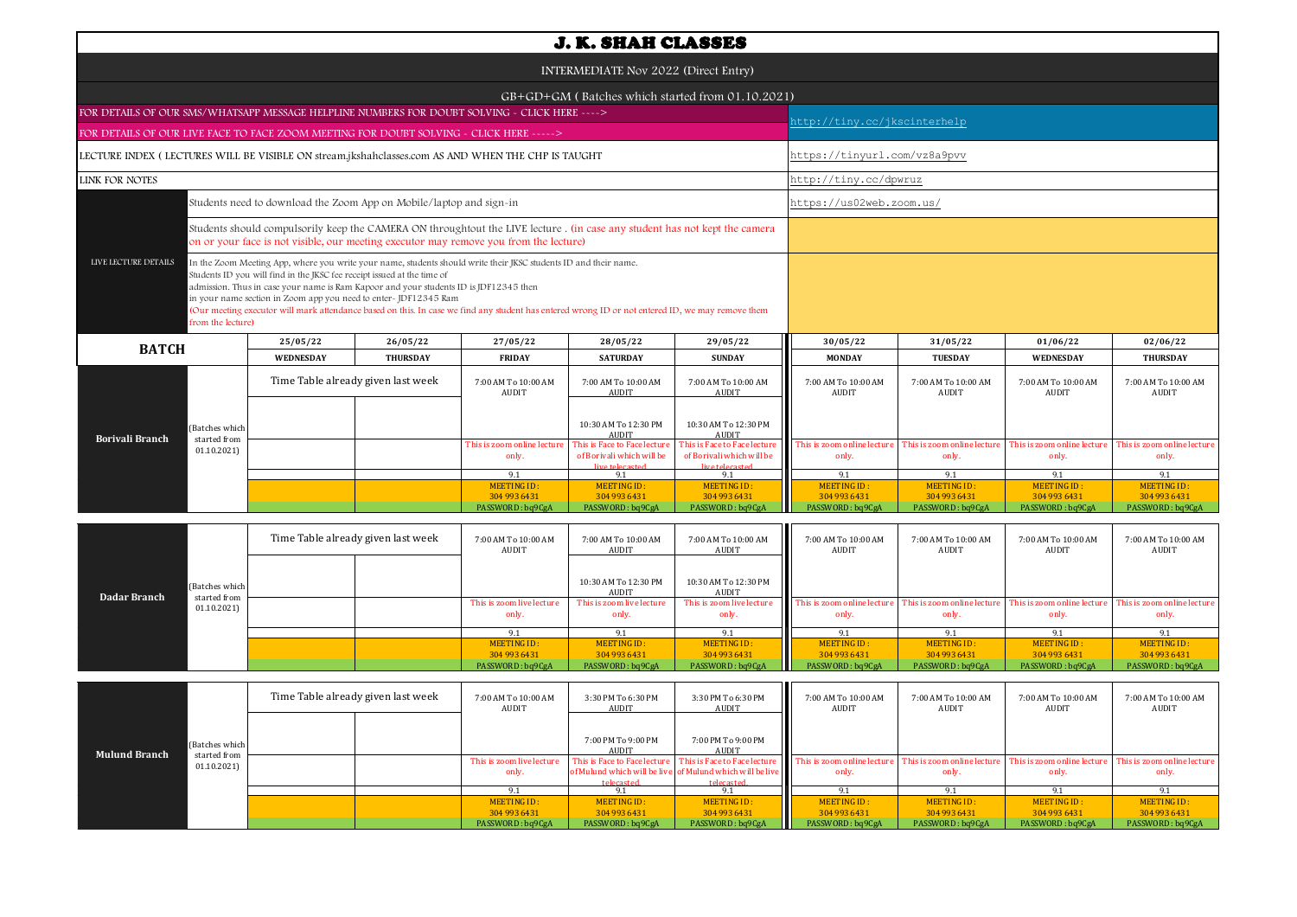|                                                                                                   |                                |                                                                         |                                                                                                                                                                                                                                                                                                                                                                                                                                  |                                                                                                                                                                                                                      | <b>J. K. SHAH CLASSES</b>                                                     |                                                                               |                                      |                                     |                                      |                                      |  |  |  |
|---------------------------------------------------------------------------------------------------|--------------------------------|-------------------------------------------------------------------------|----------------------------------------------------------------------------------------------------------------------------------------------------------------------------------------------------------------------------------------------------------------------------------------------------------------------------------------------------------------------------------------------------------------------------------|----------------------------------------------------------------------------------------------------------------------------------------------------------------------------------------------------------------------|-------------------------------------------------------------------------------|-------------------------------------------------------------------------------|--------------------------------------|-------------------------------------|--------------------------------------|--------------------------------------|--|--|--|
| INTERMEDIATE Nov 2022 (Direct Entry)                                                              |                                |                                                                         |                                                                                                                                                                                                                                                                                                                                                                                                                                  |                                                                                                                                                                                                                      |                                                                               |                                                                               |                                      |                                     |                                      |                                      |  |  |  |
|                                                                                                   |                                |                                                                         |                                                                                                                                                                                                                                                                                                                                                                                                                                  |                                                                                                                                                                                                                      |                                                                               | GB+GD+GM (Batches which started from 01.10.2021)                              |                                      |                                     |                                      |                                      |  |  |  |
| FOR DETAILS OF OUR SMS/WHATSAPP MESSAGE HELPLINE NUMBERS FOR DOUBT SOLVING - CLICK HERE ---->     |                                |                                                                         |                                                                                                                                                                                                                                                                                                                                                                                                                                  |                                                                                                                                                                                                                      |                                                                               |                                                                               |                                      | nttp://tiny.cc/jkscinterhelp        |                                      |                                      |  |  |  |
| FOR DETAILS OF OUR LIVE FACE TO FACE ZOOM MEETING FOR DOUBT SOLVING - CLICK HERE ----->           |                                |                                                                         |                                                                                                                                                                                                                                                                                                                                                                                                                                  |                                                                                                                                                                                                                      |                                                                               |                                                                               |                                      |                                     |                                      |                                      |  |  |  |
| LECTURE INDEX (LECTURES WILL BE VISIBLE ON stream.jkshahclasses.com AS AND WHEN THE CHP IS TAUGHT |                                |                                                                         |                                                                                                                                                                                                                                                                                                                                                                                                                                  |                                                                                                                                                                                                                      |                                                                               |                                                                               | https://tinyurl.com/vz8a9pvv         |                                     |                                      |                                      |  |  |  |
| <b>LINK FOR NOTES</b>                                                                             |                                |                                                                         |                                                                                                                                                                                                                                                                                                                                                                                                                                  |                                                                                                                                                                                                                      |                                                                               |                                                                               | http://tiny.cc/dpwruz                |                                     |                                      |                                      |  |  |  |
|                                                                                                   |                                |                                                                         | Students need to download the Zoom App on Mobile/laptop and sign-in                                                                                                                                                                                                                                                                                                                                                              |                                                                                                                                                                                                                      |                                                                               |                                                                               | https://us02web.zoom.us/             |                                     |                                      |                                      |  |  |  |
|                                                                                                   |                                |                                                                         |                                                                                                                                                                                                                                                                                                                                                                                                                                  | Students should compulsorily keep the CAMERA ON throughtout the LIVE lecture . (in case any student has not kept the camera<br>on or your face is not visible, our meeting executor may remove you from the lecture) |                                                                               |                                                                               |                                      |                                     |                                      |                                      |  |  |  |
| LIVE LECTURE DETAILS                                                                              | from the lecture)              | Students ID you will find in the JKSC fee receipt issued at the time of | In the Zoom Meeting App, where you write your name, students should write their JKSC students ID and their name.<br>admission. Thus in case your name is Ram Kapoor and your students ID is JDF12345 then<br>in your name section in Zoom app you need to enter-JDF12345 Ram<br>(Our meeting executor will mark attendance based on this. In case we find any student has entered wrong ID or not entered ID, we may remove them |                                                                                                                                                                                                                      |                                                                               |                                                                               |                                      |                                     |                                      |                                      |  |  |  |
| <b>BATCH</b>                                                                                      |                                | 25/05/22                                                                | 26/05/22                                                                                                                                                                                                                                                                                                                                                                                                                         | 27/05/22                                                                                                                                                                                                             | 28/05/22                                                                      | 29/05/22                                                                      | 30/05/22                             | 31/05/22                            | 01/06/22                             | 02/06/22                             |  |  |  |
|                                                                                                   |                                | WEDNESDAY                                                               | <b>THURSDAY</b>                                                                                                                                                                                                                                                                                                                                                                                                                  | <b>FRIDAY</b>                                                                                                                                                                                                        | <b>SATURDAY</b>                                                               | <b>SUNDAY</b>                                                                 | <b>MONDAY</b>                        | <b>TUESDAY</b>                      | <b>WEDNESDAY</b>                     | <b>THURSDAY</b>                      |  |  |  |
|                                                                                                   |                                |                                                                         | Time Table already given last week                                                                                                                                                                                                                                                                                                                                                                                               | 7:00 AM To 10:00 AM<br><b>AUDIT</b>                                                                                                                                                                                  | 7:00 AM To 10:00 AM<br>AUDIT                                                  | 7:00 AM To 10:00 AM<br>AUDIT                                                  | 7:00 AM To 10:00 AM<br><b>AUDIT</b>  | 7:00 AM To 10:00 AM<br><b>AUDIT</b> | 7:00 AM To 10:00 AM<br><b>AUDIT</b>  | 7:00 AM To 10:00 AM<br><b>AUDIT</b>  |  |  |  |
| <b>Borivali Branch</b>                                                                            | (Batches which<br>started from |                                                                         |                                                                                                                                                                                                                                                                                                                                                                                                                                  |                                                                                                                                                                                                                      | 10:30 AM To 12:30 PM<br><b>AUDIT</b>                                          | 10:30 AM To 12:30 PM<br><b>AUDIT</b>                                          |                                      |                                     |                                      |                                      |  |  |  |
|                                                                                                   | 01.10.2021                     |                                                                         |                                                                                                                                                                                                                                                                                                                                                                                                                                  | This is zoom online lecture<br>only.                                                                                                                                                                                 | This is Face to Face lecture<br>of Borivali which will be<br>live telecasted. | This is Face to Face lecture<br>of Borivali which will be<br>live telecasted. | This is zoom online lecture<br>only. | This is zoom online lectur<br>only. | This is zoom online lecture<br>only. | This is zoom online lecture<br>only. |  |  |  |
|                                                                                                   |                                |                                                                         |                                                                                                                                                                                                                                                                                                                                                                                                                                  | 9.1                                                                                                                                                                                                                  | 9.1                                                                           | 9.1                                                                           | 9.1                                  | 9.1                                 | 9.1                                  | 9.1                                  |  |  |  |
|                                                                                                   |                                |                                                                         |                                                                                                                                                                                                                                                                                                                                                                                                                                  | <b>MEETING ID:</b><br>304 993 6431                                                                                                                                                                                   | <b>MEETING ID:</b><br>304 993 6431                                            | <b>MEETING ID:</b><br>304 993 6431                                            | <b>MEETING ID:</b><br>304 993 6431   | <b>MEETING ID:</b><br>304 993 6431  | <b>MEETING ID:</b><br>304 993 6431   | <b>MEETING ID:</b><br>304 993 6431   |  |  |  |
|                                                                                                   |                                |                                                                         |                                                                                                                                                                                                                                                                                                                                                                                                                                  | PASSWORD: bq9CgA                                                                                                                                                                                                     | PASSWORD: bq9CgA                                                              | PASSWORD: bq9CgA                                                              | PASSWORD: bq9CgA                     | PASSWORD: bq9CgA                    | PASSWORD: bq9CgA                     | PASSWORD: bq9CgA                     |  |  |  |

| Dadar Branch | (Batches which<br>started from<br>01.10.2021) | Time Table already given last week |  | 7:00 AM To 10:00 AM<br>AUDIT       | 7:00 AM To 10:00 AM<br>AUDIT       | 7:00 AM To 10:00 AM<br>AUDIT       | 7:00 AM To 10:00 AM<br>AUDIT                                                                 | 7:00 AM To 10:00 AM<br>AUDIT | 7:00 AM To 10:00 AM<br>AUDIT | 7:00 AM To 10:00 AM<br>AUDIT         |
|--------------|-----------------------------------------------|------------------------------------|--|------------------------------------|------------------------------------|------------------------------------|----------------------------------------------------------------------------------------------|------------------------------|------------------------------|--------------------------------------|
|              |                                               |                                    |  |                                    | 10:30 AM To 12:30 PM<br>AUDIT      | 10:30 AM To 12:30 PM<br>AUDIT      |                                                                                              |                              |                              |                                      |
|              |                                               |                                    |  | This is zoom live lecture<br>only. | This is zoom live lecture<br>only. | This is zoom live lecture<br>only. | This is zoom online lecture This is zoom online lecture This is zoom online lecture<br>only. | only.                        | only.                        | This is zoom online lecture<br>only. |
|              |                                               |                                    |  | 9.1                                |                                    | 9.1                                | 9.1                                                                                          |                              | 9.1                          |                                      |
|              |                                               |                                    |  | MEETING ID:                        | MEETING ID:                        | MEETING ID:                        | MEETING ID:                                                                                  | MEETING ID:                  | MEETING ID:                  | MEETING ID:                          |
|              |                                               |                                    |  | 304 993 6431                       | 304 993 6431                       | 304 993 6431                       | 304 993 6431                                                                                 | 304 993 6431                 | 304 993 6431                 | 304 993 6431                         |
|              |                                               |                                    |  | PASSWORD: bq9CgA                   | PASSWORD: bq9CgA                   | PASSWORD: bq9CgA                   | PASSWORD: bq9CgA                                                                             | PASSWORD: bq9CgA             | PASSWORD: bq9CgA             | PASSWORD: bq9CgA                     |

| <b>Mulund Branch</b> |                                              | Time Table already given last week |  | 7:00 AM To 10:00 AM<br>AUDIT       | 3:30 PM To 6:30 PM<br>AUDIT | 3:30 PM To 6:30 PM<br>AUDIT                                              | 7:00 AM To 10:00 AM<br>AUDIT                                                                                                                                                                                                            | 7:00 AM To 10:00 AM<br>AUDIT | 7:00 AM To 10:00 AM<br>AUDIT | 7:00 AM To 10:00 AM<br><b>AUDIT</b> |
|----------------------|----------------------------------------------|------------------------------------|--|------------------------------------|-----------------------------|--------------------------------------------------------------------------|-----------------------------------------------------------------------------------------------------------------------------------------------------------------------------------------------------------------------------------------|------------------------------|------------------------------|-------------------------------------|
|                      | (Batches which<br>started from<br>01.10.2021 |                                    |  |                                    | 7:00 PM To 9:00 PM<br>AUDIT | 7:00 PM To 9:00 PM<br><b>AUDIT</b>                                       |                                                                                                                                                                                                                                         |                              |                              |                                     |
|                      |                                              |                                    |  | This is zoom live lecture<br>only. | telecasted                  | of Mulund which will be live of Mulund which will be live<br>telecasted. | This is Face lecture   This is Face to Face lecture     This is zoom online lecture   This is zoom online lecture   This is zoom online lecture   This is zoom online lecture   This is zoom online lecture   This is zoom onl<br>only. | only.                        | only.                        | only.                               |
|                      |                                              |                                    |  |                                    |                             | 9.1                                                                      | 9.1                                                                                                                                                                                                                                     |                              | $Q_1$                        |                                     |
|                      |                                              |                                    |  | MEETING ID:                        | MEETING ID:                 | MEETING ID:                                                              | MEETING ID:                                                                                                                                                                                                                             | MEETING ID:                  | MEETING ID:                  | MEETING ID:                         |
|                      |                                              |                                    |  | 304 993 6431                       | 304 993 6431                | 304 993 6431                                                             | 304 993 6431                                                                                                                                                                                                                            | 304 993 6431                 | 304 993 6431                 | 304 993 6431                        |
|                      |                                              |                                    |  | PASSWORD: bq9CgA                   | PASSWORD: bq9CgA            | PASSWORD: bq9CgA                                                         | PASSWORD: bq9CgA                                                                                                                                                                                                                        | PASSWORD: bq9CgA             | PASSWORD: bq9CgA             | PASSWORD: bq9CgA                    |